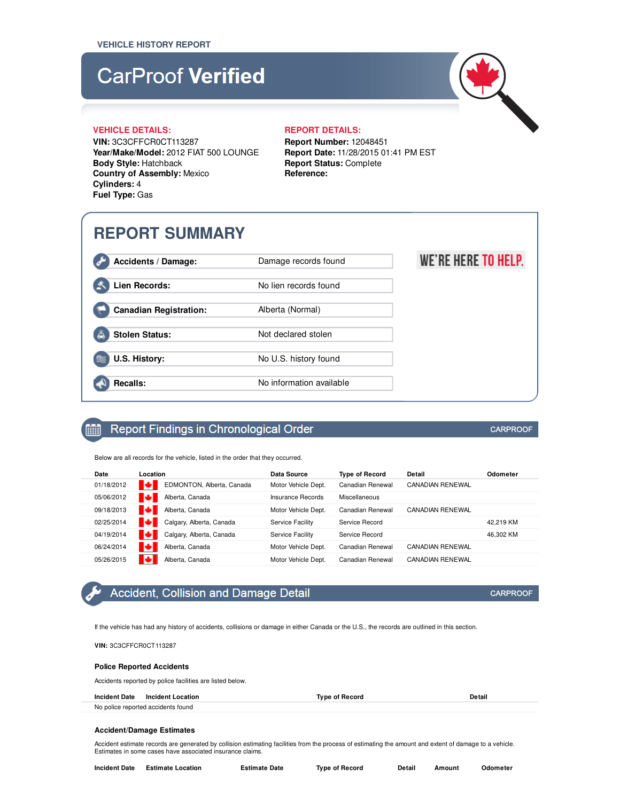# **CarProof Verified**



WE'RE HERE TO HELP.

### **VEHICLE DETAILS: REPORT DETAILS:**

**VIN:** 3C3CFFCR0CT113287 **Year/Make/Model:** 2012 FIAT 500 LOUNGE **Body Style:** Hatchback **Country of Assembly:** Mexico **Cylinders:** 4 **Fuel Type:** Gas

**Report Number:** 12048451 **Report Date:** 11/28/2015 01:41 PM EST **Report Status:** Complete **Reference:**

# **REPORT SUMMARY**

**Accidents / Damage:** Damage records found Lien Records: No lien records found

**Canadian Registration:** Alberta (Normal)

Stolen Status: Not declared stolen

**U.S. History:** No U.S. history found

**Recalls:** No information available

m

## Report Findings in Chronological Order

Below are all records for the vehicle, listed in the order that they occurred.

| Date       | Location                       | Data Source             | <b>Type of Record</b> | Detail                  | Odometer  |
|------------|--------------------------------|-------------------------|-----------------------|-------------------------|-----------|
| 01/18/2012 | ю<br>EDMONTON, Alberta, Canada | Motor Vehicle Dept.     | Canadian Renewal      | <b>CANADIAN RENEWAL</b> |           |
| 05/06/2012 | ю<br>Alberta, Canada           | Insurance Records       | Miscellaneous         |                         |           |
| 09/18/2013 | м<br>Alberta, Canada           | Motor Vehicle Dept.     | Canadian Renewal      | <b>CANADIAN RENEWAL</b> |           |
| 02/25/2014 | м<br>Calgary, Alberta, Canada  | <b>Service Facility</b> | Service Record        |                         | 42.219 KM |
| 04/19/2014 | Calgary, Alberta, Canada       | Service Facility        | Service Record        |                         | 46.302 KM |
| 06/24/2014 | о<br>Alberta, Canada           | Motor Vehicle Dept.     | Canadian Renewal      | <b>CANADIAN RENEWAL</b> |           |
| 05/26/2015 | ю<br>Alberta, Canada           | Motor Vehicle Dept.     | Canadian Renewal      | <b>CANADIAN RENEWAL</b> |           |

# Accident, Collision and Damage Detail

If the vehicle has had any history of accidents, collisions or damage in either Canada or the U.S., the records are outlined in this section.

**VIN:** 3C3CFFCR0CT113287

### **Police Reported Accidents**

Accidents reported by police facilities are listed below.

**Incident Date Incident Location Type of Record Detail** No police reported accidents found

### **Accident/Damage Estimates**

Accident estimate records are generated by collision estimating facilities from the process of estimating the amount and extent of damage to a vehicle. Estimates in some cases have associated insurance claims.

| Incident Date | <b>Estimate Location</b> | <b>Estimate Date</b> | <b>Type of Record</b> | Detail | Amount | Odometer |
|---------------|--------------------------|----------------------|-----------------------|--------|--------|----------|
|---------------|--------------------------|----------------------|-----------------------|--------|--------|----------|

### **CARPROOF**

**CARPROOF**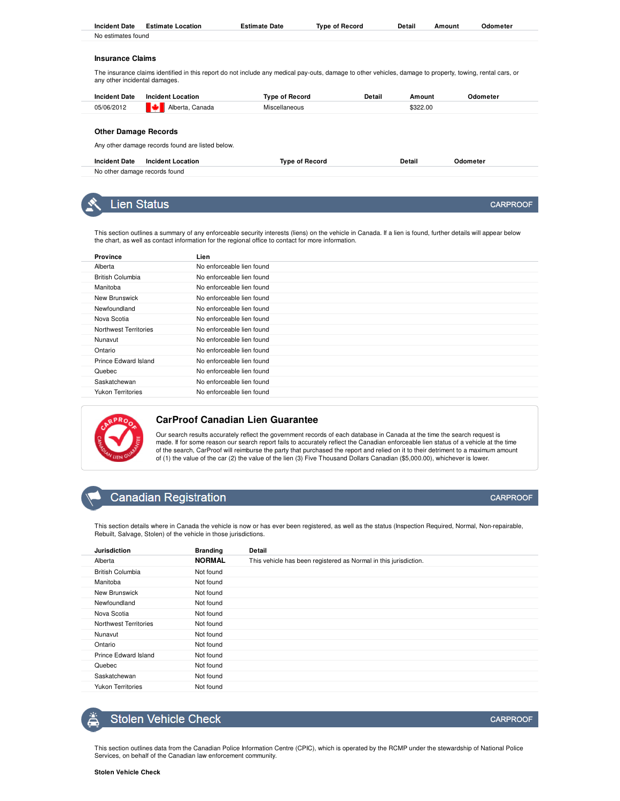| <b>Incident Date</b>        | <b>Incident Location</b>                         | <b>Type of Record</b>                                                                                                                                                                                                                                               | Detail | Amount   | Odometer        |
|-----------------------------|--------------------------------------------------|---------------------------------------------------------------------------------------------------------------------------------------------------------------------------------------------------------------------------------------------------------------------|--------|----------|-----------------|
| 05/06/2012                  | Alberta, Canada                                  | Miscellaneous                                                                                                                                                                                                                                                       |        | \$322.00 |                 |
| <b>Other Damage Records</b> |                                                  |                                                                                                                                                                                                                                                                     |        |          |                 |
|                             | Any other damage records found are listed below. |                                                                                                                                                                                                                                                                     |        |          |                 |
| <b>Incident Date</b>        | <b>Incident Location</b>                         | <b>Type of Record</b>                                                                                                                                                                                                                                               |        | Detail   | Odometer        |
|                             | No other damage records found                    |                                                                                                                                                                                                                                                                     |        |          |                 |
|                             |                                                  |                                                                                                                                                                                                                                                                     |        |          |                 |
|                             | <b>Lien Status</b>                               |                                                                                                                                                                                                                                                                     |        |          | <b>CARPROOF</b> |
|                             |                                                  |                                                                                                                                                                                                                                                                     |        |          |                 |
|                             |                                                  | This section outlines a summary of any enforceable security interests (liens) on the vehicle in Canada. If a lien is found, further details will appear below<br>the chart, as well as contact information for the regional office to contact for more information. |        |          |                 |
| Province                    | Lien                                             |                                                                                                                                                                                                                                                                     |        |          |                 |
| Alberta                     | No enforceable lien found                        |                                                                                                                                                                                                                                                                     |        |          |                 |

**Incident Date Estimate Location Estimate Date Type of Record Detail Amount Odometer**

| <b>Province</b>          | Lien                      |
|--------------------------|---------------------------|
| Alberta                  | No enforceable lien found |
| <b>British Columbia</b>  | No enforceable lien found |
| Manitoba                 | No enforceable lien found |
| New Brunswick            | No enforceable lien found |
| Newfoundland             | No enforceable lien found |
| Nova Scotia              | No enforceable lien found |
| Northwest Territories    | No enforceable lien found |
| Nunavut                  | No enforceable lien found |
| Ontario                  | No enforceable lien found |
| Prince Edward Island     | No enforceable lien found |
| Quebec                   | No enforceable lien found |
| Saskatchewan             | No enforceable lien found |
| <b>Yukon Territories</b> | No enforceable lien found |
|                          |                           |



No estimates found

**Insurance Claims**

### **CarProof Canadian Lien Guarantee**

Our search results accurately reflect the government records of each database in Canada at the time the search request is made. If for some reason our search report fails to accurately reflect the Canadian enforceable lien status of a vehicle at the time of the search, CarProof will reimburse the party that purchased the report and relied on it to their detriment to a maximum amount of (1) the value of the car (2) the value of the lien (3) Five Thousand Dollars Canadian (\$5,000.00), whichever is lower.

### **Canadian Registration**

This section details where in Canada the vehicle is now or has ever been registered, as well as the status (Inspection Required, Normal, Non-repairable, Rebuilt, Salvage, Stolen) of the vehicle in those jurisdictions.

| <b>Jurisdiction</b>      | <b>Branding</b> | Detail                                                           |
|--------------------------|-----------------|------------------------------------------------------------------|
| Alberta                  | <b>NORMAL</b>   | This vehicle has been registered as Normal in this jurisdiction. |
| <b>British Columbia</b>  | Not found       |                                                                  |
| Manitoba                 | Not found       |                                                                  |
| New Brunswick            | Not found       |                                                                  |
| Newfoundland             | Not found       |                                                                  |
| Nova Scotia              | Not found       |                                                                  |
| Northwest Territories    | Not found       |                                                                  |
| Nunavut                  | Not found       |                                                                  |
| Ontario                  | Not found       |                                                                  |
| Prince Edward Island     | Not found       |                                                                  |
| Quebec                   | Not found       |                                                                  |
| Saskatchewan             | Not found       |                                                                  |
| <b>Yukon Territories</b> | Not found       |                                                                  |
|                          |                 |                                                                  |

## **Stolen Vehicle Check**

This section outlines data from the Canadian Police Information Centre (CPIC), which is operated by the RCMP under the stewardship of National Police Services, on behalf of the Canadian law enforcement community.

**CARPROOF** 

CARPROOF